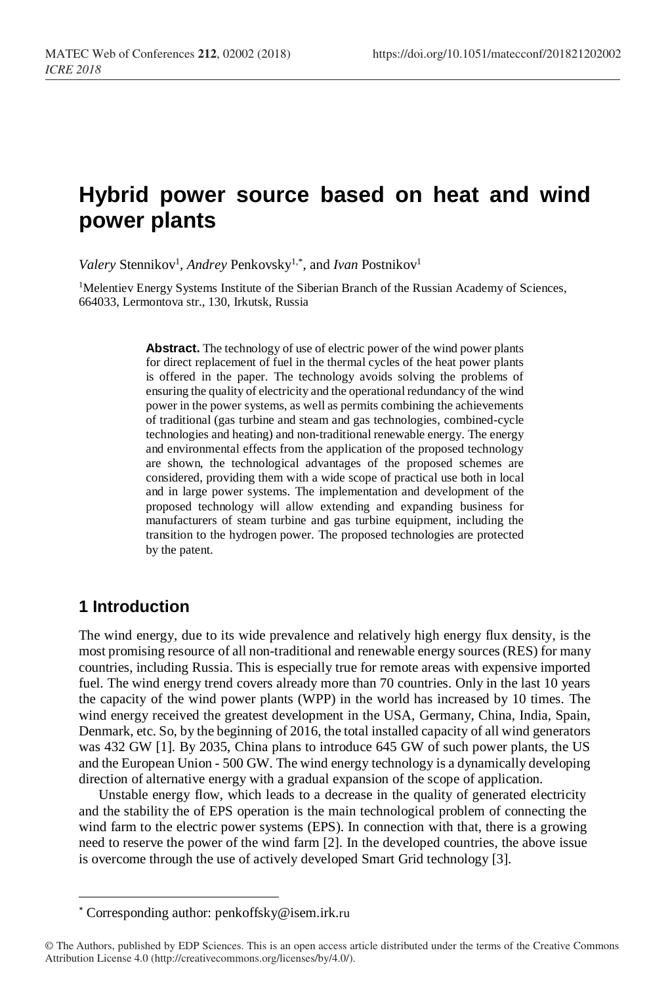# **Hybrid power source based on heat and wind power plants**

*Valery* Stennikov<sup>1</sup>, *Andrey* Penkovsky<sup>1,\*</sup>, and *Ivan* Postnikov<sup>1</sup>

<sup>1</sup>Melentiev Energy Systems Institute of the Siberian Branch of the Russian Academy of Sciences, 664033, Lermontova str., 130, Irkutsk, Russia

> **Abstract.** The technology of use of electric power of the wind power plants for direct replacement of fuel in the thermal cycles of the heat power plants is offered in the paper. The technology avoids solving the problems of ensuring the quality of electricity and the operational redundancy of the wind power in the power systems, as well as permits combining the achievements of traditional (gas turbine and steam and gas technologies, combined-cycle technologies and heating) and non-traditional renewable energy. The energy and environmental effects from the application of the proposed technology are shown, the technological advantages of the proposed schemes are considered, providing them with a wide scope of practical use both in local and in large power systems. The implementation and development of the proposed technology will allow extending and expanding business for manufacturers of steam turbine and gas turbine equipment, including the transition to the hydrogen power. The proposed technologies are protected by the patent.

# **1 Introduction**

l

The wind energy, due to its wide prevalence and relatively high energy flux density, is the most promising resource of all non-traditional and renewable energy sources (RES) for many countries, including Russia. This is especially true for remote areas with expensive imported fuel. The wind energy trend covers already more than 70 countries. Only in the last 10 years the capacity of the wind power plants (WPP) in the world has increased by 10 times. The wind energy received the greatest development in the USA, Germany, China, India, Spain, Denmark, etc. So, by the beginning of 2016, the total installed capacity of all wind generators was 432 GW [1]. By 2035, China plans to introduce 645 GW of such power plants, the US and the European Union - 500 GW. The wind energy technology is a dynamically developing direction of alternative energy with a gradual expansion of the scope of application.

Unstable energy flow, which leads to a decrease in the quality of generated electricity and the stability the of EPS operation is the main technological problem of connecting the wind farm to the electric power systems (EPS). In connection with that, there is a growing need to reserve the power of the wind farm [2]. In the developed countries, the above issue is overcome through the use of actively developed Smart Grid technology [3].

<sup>\*</sup> Corresponding author: penkoffsky@isem.irk.ru

<sup>©</sup> The Authors, published by EDP Sciences. This is an open access article distributed under the terms of the Creative Commons Attribution License 4.0 (http://creativecommons.org/licenses/by/4.0/).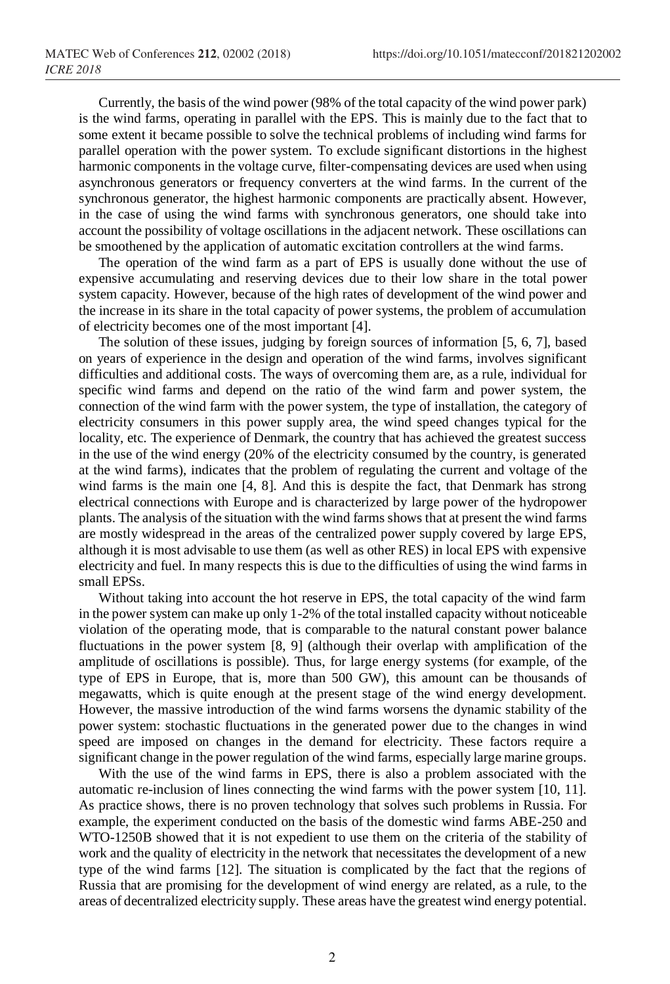Currently, the basis of the wind power (98% of the total capacity of the wind power park) is the wind farms, operating in parallel with the EPS. This is mainly due to the fact that to some extent it became possible to solve the technical problems of including wind farms for parallel operation with the power system. To exclude significant distortions in the highest harmonic components in the voltage curve, filter-compensating devices are used when using asynchronous generators or frequency converters at the wind farms. In the current of the synchronous generator, the highest harmonic components are practically absent. However, in the case of using the wind farms with synchronous generators, one should take into account the possibility of voltage oscillations in the adjacent network. These oscillations can be smoothened by the application of automatic excitation controllers at the wind farms.

The operation of the wind farm as a part of EPS is usually done without the use of expensive accumulating and reserving devices due to their low share in the total power system capacity. However, because of the high rates of development of the wind power and the increase in its share in the total capacity of power systems, the problem of accumulation of electricity becomes one of the most important [4].

The solution of these issues, judging by foreign sources of information [5, 6, 7], based on years of experience in the design and operation of the wind farms, involves significant difficulties and additional costs. The ways of overcoming them are, as a rule, individual for specific wind farms and depend on the ratio of the wind farm and power system, the connection of the wind farm with the power system, the type of installation, the category of electricity consumers in this power supply area, the wind speed changes typical for the locality, etc. The experience of Denmark, the country that has achieved the greatest success in the use of the wind energy (20% of the electricity consumed by the country, is generated at the wind farms), indicates that the problem of regulating the current and voltage of the wind farms is the main one [4, 8]. And this is despite the fact, that Denmark has strong electrical connections with Europe and is characterized by large power of the hydropower plants. The analysis of the situation with the wind farms shows that at present the wind farms are mostly widespread in the areas of the centralized power supply covered by large EPS, although it is most advisable to use them (as well as other RES) in local EPS with expensive electricity and fuel. In many respects this is due to the difficulties of using the wind farms in small EPSs.

Without taking into account the hot reserve in EPS, the total capacity of the wind farm in the power system can make up only 1-2% of the total installed capacity without noticeable violation of the operating mode, that is comparable to the natural constant power balance fluctuations in the power system [8, 9] (although their overlap with amplification of the amplitude of oscillations is possible). Thus, for large energy systems (for example, of the type of EPS in Europe, that is, more than 500 GW), this amount can be thousands of megawatts, which is quite enough at the present stage of the wind energy development. However, the massive introduction of the wind farms worsens the dynamic stability of the power system: stochastic fluctuations in the generated power due to the changes in wind speed are imposed on changes in the demand for electricity. These factors require a significant change in the power regulation of the wind farms, especially large marine groups.

With the use of the wind farms in EPS, there is also a problem associated with the automatic re-inclusion of lines connecting the wind farms with the power system [10, 11]. As practice shows, there is no proven technology that solves such problems in Russia. For example, the experiment conducted on the basis of the domestic wind farms ABE-250 and WTO-1250B showed that it is not expedient to use them on the criteria of the stability of work and the quality of electricity in the network that necessitates the development of a new type of the wind farms [12]. The situation is complicated by the fact that the regions of Russia that are promising for the development of wind energy are related, as a rule, to the areas of decentralized electricity supply. These areas have the greatest wind energy potential.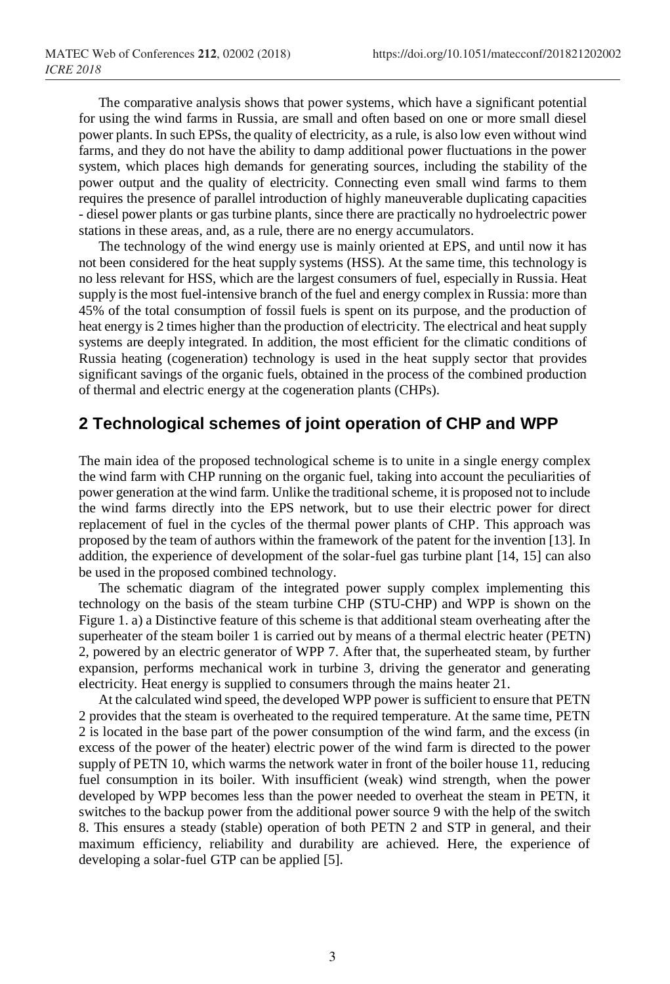The comparative analysis shows that power systems, which have a significant potential for using the wind farms in Russia, are small and often based on one or more small diesel power plants. In such EPSs, the quality of electricity, as a rule, is also low even without wind farms, and they do not have the ability to damp additional power fluctuations in the power system, which places high demands for generating sources, including the stability of the power output and the quality of electricity. Connecting even small wind farms to them requires the presence of parallel introduction of highly maneuverable duplicating capacities - diesel power plants or gas turbine plants, since there are practically no hydroelectric power stations in these areas, and, as a rule, there are no energy accumulators.

The technology of the wind energy use is mainly oriented at EPS, and until now it has not been considered for the heat supply systems (HSS). At the same time, this technology is no less relevant for HSS, which are the largest consumers of fuel, especially in Russia. Heat supply is the most fuel-intensive branch of the fuel and energy complex in Russia: more than 45% of the total consumption of fossil fuels is spent on its purpose, and the production of heat energy is 2 times higher than the production of electricity. The electrical and heat supply systems are deeply integrated. In addition, the most efficient for the climatic conditions of Russia heating (cogeneration) technology is used in the heat supply sector that provides significant savings of the organic fuels, obtained in the process of the combined production of thermal and electric energy at the cogeneration plants (CHPs).

# **2 Technological schemes of joint operation of CHP and WPP**

The main idea of the proposed technological scheme is to unite in a single energy complex the wind farm with CHP running on the organic fuel, taking into account the peculiarities of power generation at the wind farm. Unlike the traditional scheme, it is proposed not to include the wind farms directly into the EPS network, but to use their electric power for direct replacement of fuel in the cycles of the thermal power plants of CHP. This approach was proposed by the team of authors within the framework of the patent for the invention [13]. In addition, the experience of development of the solar-fuel gas turbine plant [14, 15] can also be used in the proposed combined technology.

The schematic diagram of the integrated power supply complex implementing this technology on the basis of the steam turbine CHP (STU-CHP) and WPP is shown on the Figure 1. a) a Distinctive feature of this scheme is that additional steam overheating after the superheater of the steam boiler 1 is carried out by means of a thermal electric heater (PETN) 2, powered by an electric generator of WPP 7. After that, the superheated steam, by further expansion, performs mechanical work in turbine 3, driving the generator and generating electricity. Heat energy is supplied to consumers through the mains heater 21.

At the calculated wind speed, the developed WPP power is sufficient to ensure that PETN 2 provides that the steam is overheated to the required temperature. At the same time, PETN 2 is located in the base part of the power consumption of the wind farm, and the excess (in excess of the power of the heater) electric power of the wind farm is directed to the power supply of PETN 10, which warms the network water in front of the boiler house 11, reducing fuel consumption in its boiler. With insufficient (weak) wind strength, when the power developed by WPP becomes less than the power needed to overheat the steam in PETN, it switches to the backup power from the additional power source 9 with the help of the switch 8. This ensures a steady (stable) operation of both PETN 2 and STP in general, and their maximum efficiency, reliability and durability are achieved. Here, the experience of developing a solar-fuel GTP can be applied [5].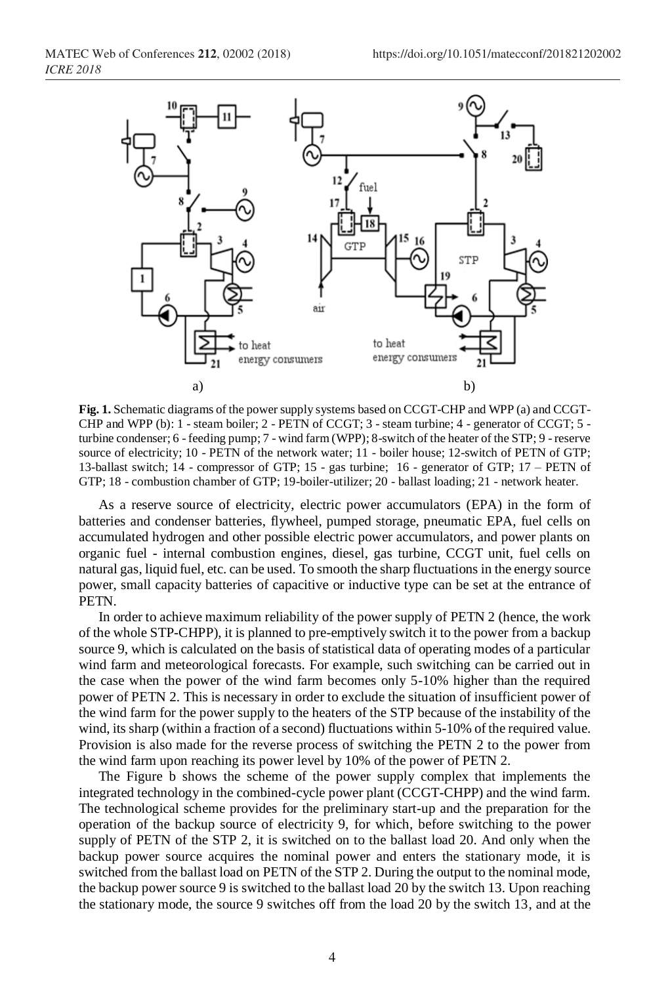

**Fig. 1.** Schematic diagrams of the power supply systems based on CCGT-CHP and WPP (a) and CCGT-CHP and WPP (b): 1 - steam boiler; 2 - PETN of CCGT; 3 - steam turbine; 4 - generator of CCGT; 5 turbine condenser; 6 - feeding pump; 7 - wind farm (WPP); 8-switch of the heater of the STP; 9 - reserve source of electricity; 10 - PETN of the network water; 11 - boiler house; 12-switch of PETN of GTP; 13-ballast switch; 14 - compressor of GTP; 15 - gas turbine; 16 - generator of GTP; 17 – PETN of GTP; 18 - combustion chamber of GTP; 19-boiler-utilizer; 20 - ballast loading; 21 - network heater.

As a reserve source of electricity, electric power accumulators (EPA) in the form of batteries and condenser batteries, flywheel, pumped storage, pneumatic EPA, fuel cells on accumulated hydrogen and other possible electric power accumulators, and power plants on organic fuel - internal combustion engines, diesel, gas turbine, CCGT unit, fuel cells on natural gas, liquid fuel, etc. can be used. To smooth the sharp fluctuations in the energy source power, small capacity batteries of capacitive or inductive type can be set at the entrance of PETN.

In order to achieve maximum reliability of the power supply of PETN 2 (hence, the work of the whole STP-CHPP), it is planned to pre-emptively switch it to the power from a backup source 9, which is calculated on the basis of statistical data of operating modes of a particular wind farm and meteorological forecasts. For example, such switching can be carried out in the case when the power of the wind farm becomes only 5-10% higher than the required power of PETN 2. This is necessary in order to exclude the situation of insufficient power of the wind farm for the power supply to the heaters of the STP because of the instability of the wind, its sharp (within a fraction of a second) fluctuations within 5-10% of the required value. Provision is also made for the reverse process of switching the PETN 2 to the power from the wind farm upon reaching its power level by 10% of the power of PETN 2.

The Figure b shows the scheme of the power supply complex that implements the integrated technology in the combined-cycle power plant (CCGT-CHPP) and the wind farm. The technological scheme provides for the preliminary start-up and the preparation for the operation of the backup source of electricity 9, for which, before switching to the power supply of PETN of the STP 2, it is switched on to the ballast load 20. And only when the backup power source acquires the nominal power and enters the stationary mode, it is switched from the ballast load on PETN of the STP 2. During the output to the nominal mode, the backup power source 9 is switched to the ballast load 20 by the switch 13. Upon reaching the stationary mode, the source 9 switches off from the load 20 by the switch 13, and at the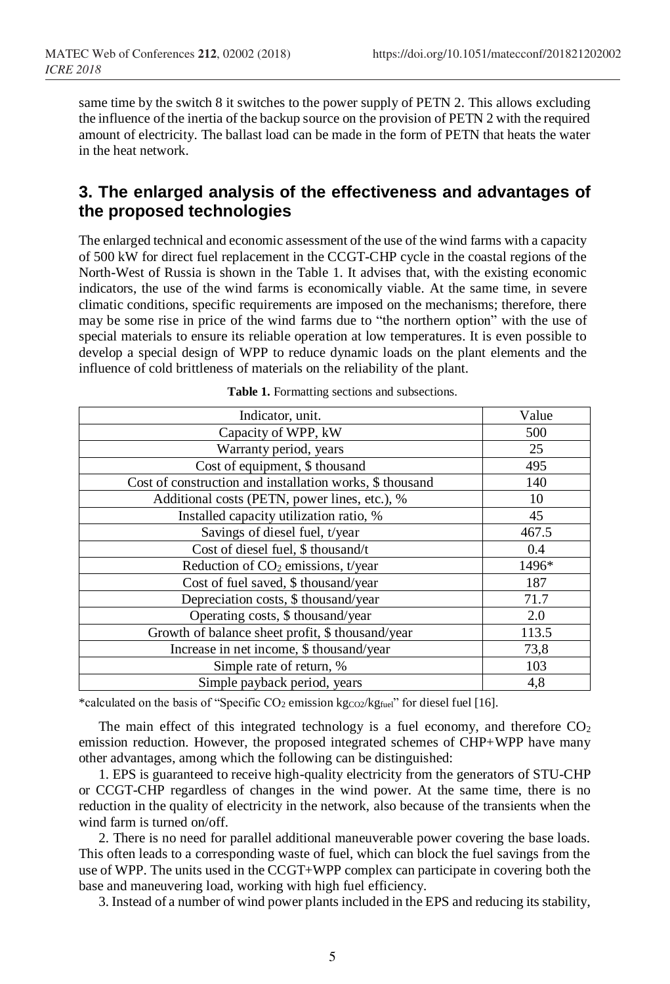same time by the switch 8 it switches to the power supply of PETN 2. This allows excluding the influence of the inertia of the backup source on the provision of PETN 2 with the required amount of electricity. The ballast load can be made in the form of PETN that heats the water in the heat network.

# **3. The enlarged analysis of the effectiveness and advantages of the proposed technologies**

The enlarged technical and economic assessment of the use of the wind farms with a capacity of 500 kW for direct fuel replacement in the CCGT-CHP cycle in the coastal regions of the North-West of Russia is shown in the Table 1. It advises that, with the existing economic indicators, the use of the wind farms is economically viable. At the same time, in severe climatic conditions, specific requirements are imposed on the mechanisms; therefore, there may be some rise in price of the wind farms due to "the northern option" with the use of special materials to ensure its reliable operation at low temperatures. It is even possible to develop a special design of WPP to reduce dynamic loads on the plant elements and the influence of cold brittleness of materials on the reliability of the plant.

| Indicator, unit.                                         | Value |
|----------------------------------------------------------|-------|
| Capacity of WPP, kW                                      | 500   |
| Warranty period, years                                   | 25    |
| Cost of equipment, \$ thousand                           | 495   |
| Cost of construction and installation works, \$ thousand | 140   |
| Additional costs (PETN, power lines, etc.), %            | 10    |
| Installed capacity utilization ratio, %                  | 45    |
| Savings of diesel fuel, t/year                           | 467.5 |
| Cost of diesel fuel, \$ thousand/t                       | 0.4   |
| Reduction of CO <sub>2</sub> emissions, t/year           | 1496* |
| Cost of fuel saved, \$ thousand/year                     | 187   |
| Depreciation costs, \$ thousand/year                     | 71.7  |
| Operating costs, \$ thousand/year                        | 2.0   |
| Growth of balance sheet profit, \$ thousand/year         | 113.5 |
| Increase in net income, \$ thousand/year                 | 73,8  |
| Simple rate of return, %                                 | 103   |
| Simple payback period, years                             | 4,8   |

**Table 1.** Formatting sections and subsections.

\*calculated on the basis of "Specific  $CO_2$  emission kg $_{CO2}/kg_{fuel}$ " for diesel fuel [16].

The main effect of this integrated technology is a fuel economy, and therefore  $CO<sub>2</sub>$ emission reduction. However, the proposed integrated schemes of CHP+WPP have many other advantages, among which the following can be distinguished:

1. EPS is guaranteed to receive high-quality electricity from the generators of STU-CHP or CCGT-CHP regardless of changes in the wind power. At the same time, there is no reduction in the quality of electricity in the network, also because of the transients when the wind farm is turned on/off.

2. There is no need for parallel additional maneuverable power covering the base loads. This often leads to a corresponding waste of fuel, which can block the fuel savings from the use of WPP. The units used in the CCGT+WPP complex can participate in covering both the base and maneuvering load, working with high fuel efficiency.

3. Instead of a number of wind power plants included in the EPS and reducing its stability,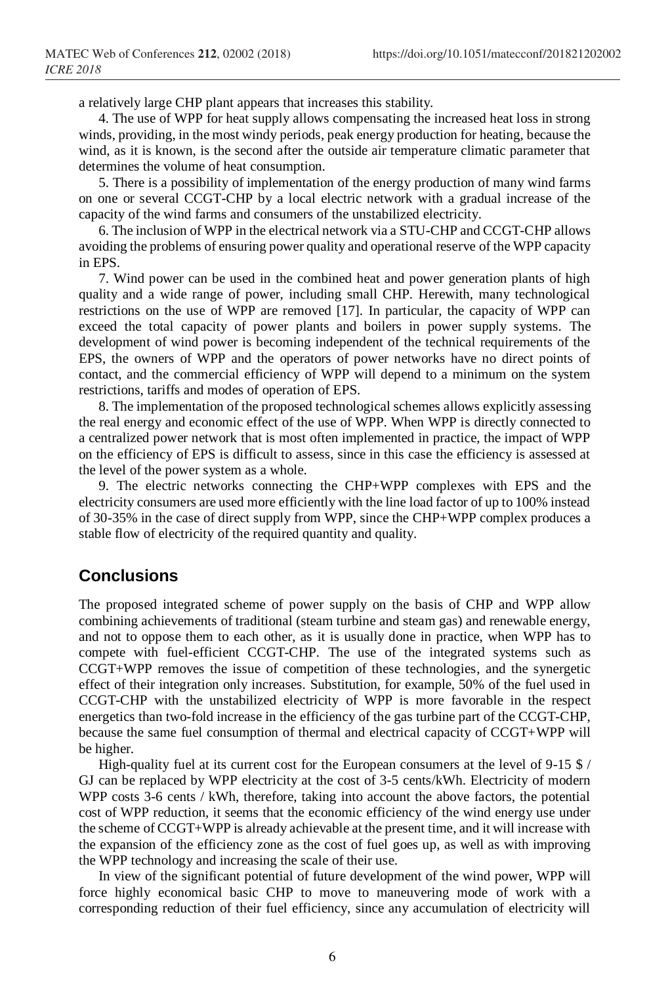a relatively large CHP plant appears that increases this stability.

4. The use of WPP for heat supply allows compensating the increased heat loss in strong winds, providing, in the most windy periods, peak energy production for heating, because the wind, as it is known, is the second after the outside air temperature climatic parameter that determines the volume of heat consumption.

5. There is a possibility of implementation of the energy production of many wind farms on one or several CCGT-CHP by a local electric network with a gradual increase of the capacity of the wind farms and consumers of the unstabilized electricity.

6. The inclusion of WPP in the electrical network via a STU-CHP and CCGT-CHP allows avoiding the problems of ensuring power quality and operational reserve of the WPP capacity in EPS.

7. Wind power can be used in the combined heat and power generation plants of high quality and a wide range of power, including small CHP. Herewith, many technological restrictions on the use of WPP are removed [17]. In particular, the capacity of WPP can exceed the total capacity of power plants and boilers in power supply systems. The development of wind power is becoming independent of the technical requirements of the EPS, the owners of WPP and the operators of power networks have no direct points of contact, and the commercial efficiency of WPP will depend to a minimum on the system restrictions, tariffs and modes of operation of EPS.

8. The implementation of the proposed technological schemes allows explicitly assessing the real energy and economic effect of the use of WPP. When WPP is directly connected to a centralized power network that is most often implemented in practice, the impact of WPP on the efficiency of EPS is difficult to assess, since in this case the efficiency is assessed at the level of the power system as a whole.

9. The electric networks connecting the CHP+WPP complexes with EPS and the electricity consumers are used more efficiently with the line load factor of up to 100% instead of 30-35% in the case of direct supply from WPP, since the CHP+WPP complex produces a stable flow of electricity of the required quantity and quality.

#### **Conclusions**

The proposed integrated scheme of power supply on the basis of CHP and WPP allow combining achievements of traditional (steam turbine and steam gas) and renewable energy, and not to oppose them to each other, as it is usually done in practice, when WPP has to compete with fuel-efficient CCGT-CHP. The use of the integrated systems such as CCGT+WPP removes the issue of competition of these technologies, and the synergetic effect of their integration only increases. Substitution, for example, 50% of the fuel used in CCGT-CHP with the unstabilized electricity of WPP is more favorable in the respect energetics than two-fold increase in the efficiency of the gas turbine part of the CCGT-CHP, because the same fuel consumption of thermal and electrical capacity of CCGT+WPP will be higher.

High-quality fuel at its current cost for the European consumers at the level of 9-15 \$ / GJ can be replaced by WPP electricity at the cost of 3-5 cents/kWh. Electricity of modern WPP costs 3-6 cents / kWh, therefore, taking into account the above factors, the potential cost of WPP reduction, it seems that the economic efficiency of the wind energy use under the scheme of CCGT+WPP is already achievable at the present time, and it will increase with the expansion of the efficiency zone as the cost of fuel goes up, as well as with improving the WPP technology and increasing the scale of their use.

In view of the significant potential of future development of the wind power, WPP will force highly economical basic CHP to move to maneuvering mode of work with a corresponding reduction of their fuel efficiency, since any accumulation of electricity will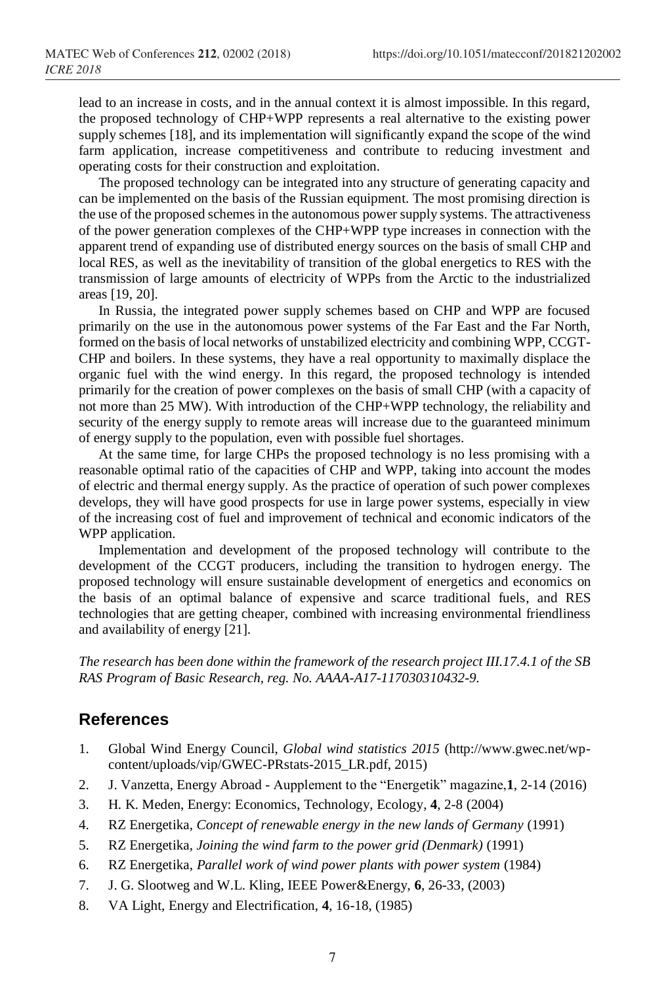lead to an increase in costs, and in the annual context it is almost impossible. In this regard, the proposed technology of CHP+WPP represents a real alternative to the existing power supply schemes [18], and its implementation will significantly expand the scope of the wind farm application, increase competitiveness and contribute to reducing investment and operating costs for their construction and exploitation.

The proposed technology can be integrated into any structure of generating capacity and can be implemented on the basis of the Russian equipment. The most promising direction is the use of the proposed schemes in the autonomous power supply systems. The attractiveness of the power generation complexes of the CHP+WPP type increases in connection with the apparent trend of expanding use of distributed energy sources on the basis of small CHP and local RES, as well as the inevitability of transition of the global energetics to RES with the transmission of large amounts of electricity of WPPs from the Arctic to the industrialized areas [19, 20].

In Russia, the integrated power supply schemes based on CHP and WPP are focused primarily on the use in the autonomous power systems of the Far East and the Far North, formed on the basis of local networks of unstabilized electricity and combining WPP, CCGT-CHP and boilers. In these systems, they have a real opportunity to maximally displace the organic fuel with the wind energy. In this regard, the proposed technology is intended primarily for the creation of power complexes on the basis of small CHP (with a capacity of not more than 25 MW). With introduction of the CHP+WPP technology, the reliability and security of the energy supply to remote areas will increase due to the guaranteed minimum of energy supply to the population, even with possible fuel shortages.

At the same time, for large CHPs the proposed technology is no less promising with a reasonable optimal ratio of the capacities of CHP and WPP, taking into account the modes of electric and thermal energy supply. As the practice of operation of such power complexes develops, they will have good prospects for use in large power systems, especially in view of the increasing cost of fuel and improvement of technical and economic indicators of the WPP application.

Implementation and development of the proposed technology will contribute to the development of the CCGT producers, including the transition to hydrogen energy. The proposed technology will ensure sustainable development of energetics and economics on the basis of an optimal balance of expensive and scarce traditional fuels, and RES technologies that are getting cheaper, combined with increasing environmental friendliness and availability of energy [21].

*The research has been done within the framework of the research project III.17.4.1 of the SB RAS Program of Basic Research, reg. No. AAAA-A17-117030310432-9.*

# **References**

- 1. Global Wind Energy Council, *Global wind statistics 2015* (http://www.gwec.net/wpcontent/uploads/vip/GWEC-PRstats-2015\_LR.pdf, 2015)
- 2. J. Vanzetta, Energy Abroad Aupplement to the "Energetik" magazine,**1**, 2-14 (2016)
- 3. H. K. Meden, Energy: Economics, Technology, Ecology, **4**, 2-8 (2004)
- 4. RZ Energetika, *Concept of renewable energy in the new lands of Germany* (1991)
- 5. RZ Energetika, *Joining the wind farm to the power grid (Denmark)* (1991)
- 6. RZ Energetika, *Parallel work of wind power plants with power system* (1984)
- 7. J. G. Slootweg and W.L. Kling, IEEE Power&Energy, **6**, 26-33, (2003)
- 8. VA Light, Energy and Electrification, **4**, 16-18, (1985)